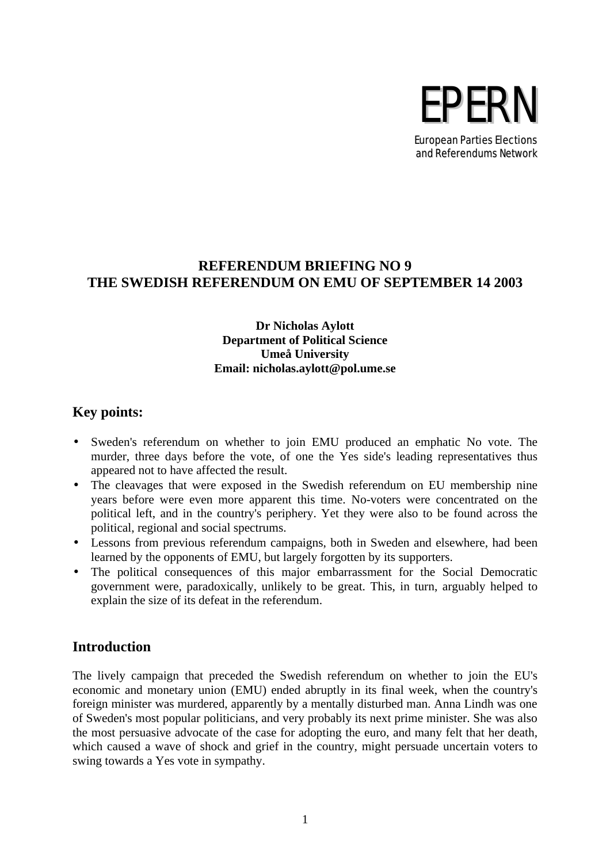

# **REFERENDUM BRIEFING NO 9 THE SWEDISH REFERENDUM ON EMU OF SEPTEMBER 14 2003**

#### **Dr Nicholas Aylott Department of Political Science Umeå University Email: nicholas.aylott@pol.ume.se**

# **Key points:**

- Sweden's referendum on whether to join EMU produced an emphatic No vote. The murder, three days before the vote, of one the Yes side's leading representatives thus appeared not to have affected the result.
- The cleavages that were exposed in the Swedish referendum on EU membership nine years before were even more apparent this time. No-voters were concentrated on the political left, and in the country's periphery. Yet they were also to be found across the political, regional and social spectrums.
- Lessons from previous referendum campaigns, both in Sweden and elsewhere, had been learned by the opponents of EMU, but largely forgotten by its supporters.
- The political consequences of this major embarrassment for the Social Democratic government were, paradoxically, unlikely to be great. This, in turn, arguably helped to explain the size of its defeat in the referendum.

#### **Introduction**

The lively campaign that preceded the Swedish referendum on whether to join the EU's economic and monetary union (EMU) ended abruptly in its final week, when the country's foreign minister was murdered, apparently by a mentally disturbed man. Anna Lindh was one of Sweden's most popular politicians, and very probably its next prime minister. She was also the most persuasive advocate of the case for adopting the euro, and many felt that her death, which caused a wave of shock and grief in the country, might persuade uncertain voters to swing towards a Yes vote in sympathy.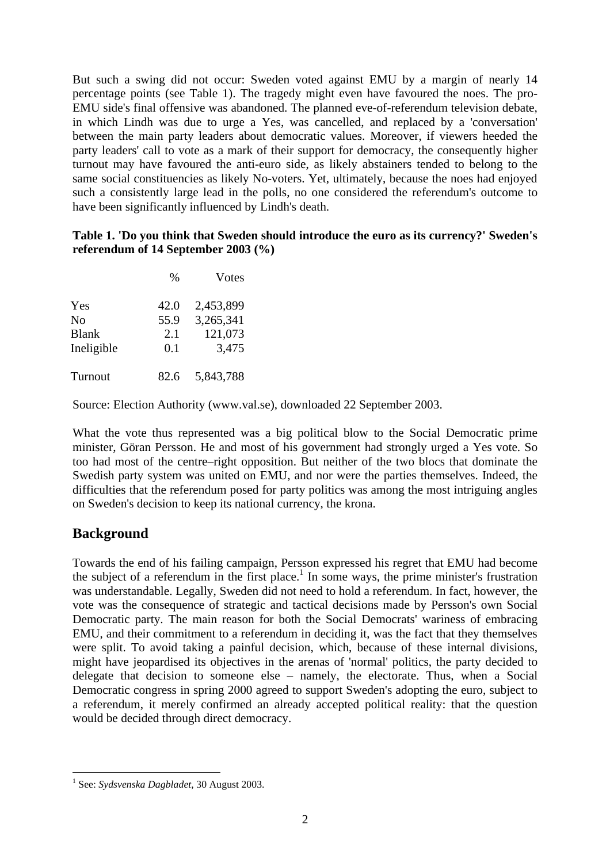But such a swing did not occur: Sweden voted against EMU by a margin of nearly 14 percentage points (see Table 1). The tragedy might even have favoured the noes. The pro-EMU side's final offensive was abandoned. The planned eve-of-referendum television debate, in which Lindh was due to urge a Yes, was cancelled, and replaced by a 'conversation' between the main party leaders about democratic values. Moreover, if viewers heeded the party leaders' call to vote as a mark of their support for democracy, the consequently higher turnout may have favoured the anti-euro side, as likely abstainers tended to belong to the same social constituencies as likely No-voters. Yet, ultimately, because the noes had enjoyed such a consistently large lead in the polls, no one considered the referendum's outcome to have been significantly influenced by Lindh's death.

#### **Table 1. 'Do you think that Sweden should introduce the euro as its currency?' Sweden's referendum of 14 September 2003 (%)**

|            | $\%$ | <b>V</b> otes |  |
|------------|------|---------------|--|
| Yes        | 42.0 | 2,453,899     |  |
| No         | 55.9 | 3,265,341     |  |
| Blank      | 2.1  | 121,073       |  |
| Ineligible | 0.1  | 3,475         |  |
| Turnout    | 82.6 | 5,843,788     |  |

Source: Election Authority (www.val.se), downloaded 22 September 2003.

What the vote thus represented was a big political blow to the Social Democratic prime minister, Göran Persson. He and most of his government had strongly urged a Yes vote. So too had most of the centre–right opposition. But neither of the two blocs that dominate the Swedish party system was united on EMU, and nor were the parties themselves. Indeed, the difficulties that the referendum posed for party politics was among the most intriguing angles on Sweden's decision to keep its national currency, the krona.

#### **Background**

 $\overline{a}$ 

Towards the end of his failing campaign, Persson expressed his regret that EMU had become the subject of a referendum in the first place.<sup>1</sup> In some ways, the prime minister's frustration was understandable. Legally, Sweden did not need to hold a referendum. In fact, however, the vote was the consequence of strategic and tactical decisions made by Persson's own Social Democratic party. The main reason for both the Social Democrats' wariness of embracing EMU, and their commitment to a referendum in deciding it, was the fact that they themselves were split. To avoid taking a painful decision, which, because of these internal divisions, might have jeopardised its objectives in the arenas of 'normal' politics, the party decided to delegate that decision to someone else – namely, the electorate. Thus, when a Social Democratic congress in spring 2000 agreed to support Sweden's adopting the euro, subject to a referendum, it merely confirmed an already accepted political reality: that the question would be decided through direct democracy.

<sup>1</sup> See: *Sydsvenska Dagbladet*, 30 August 2003.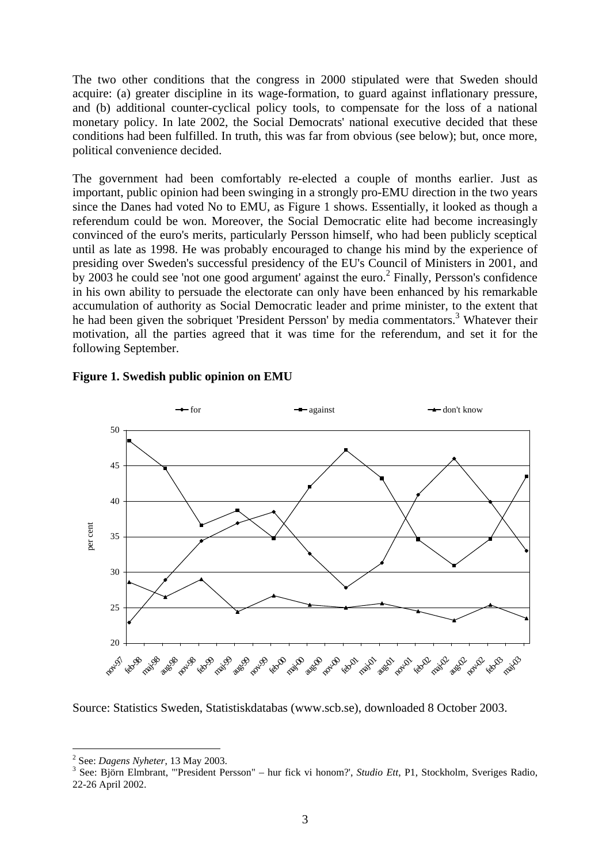The two other conditions that the congress in 2000 stipulated were that Sweden should acquire: (a) greater discipline in its wage-formation, to guard against inflationary pressure, and (b) additional counter-cyclical policy tools, to compensate for the loss of a national monetary policy. In late 2002, the Social Democrats' national executive decided that these conditions had been fulfilled. In truth, this was far from obvious (see below); but, once more, political convenience decided.

The government had been comfortably re-elected a couple of months earlier. Just as important, public opinion had been swinging in a strongly pro-EMU direction in the two years since the Danes had voted No to EMU, as Figure 1 shows. Essentially, it looked as though a referendum could be won. Moreover, the Social Democratic elite had become increasingly convinced of the euro's merits, particularly Persson himself, who had been publicly sceptical until as late as 1998. He was probably encouraged to change his mind by the experience of presiding over Sweden's successful presidency of the EU's Council of Ministers in 2001, and by 2003 he could see 'not one good argument' against the euro.<sup>2</sup> Finally, Persson's confidence in his own ability to persuade the electorate can only have been enhanced by his remarkable accumulation of authority as Social Democratic leader and prime minister, to the extent that he had been given the sobriquet 'President Persson' by media commentators.<sup>3</sup> Whatever their motivation, all the parties agreed that it was time for the referendum, and set it for the following September.



#### **Figure 1. Swedish public opinion on EMU**

Source: Statistics Sweden, Statistiskdatabas (www.scb.se), downloaded 8 October 2003.

<sup>2</sup> See: *Dagens Nyheter*, 13 May 2003.

<sup>3</sup> See: Björn Elmbrant, '"President Persson" – hur fick vi honom?', *Studio Ett*, P1, Stockholm, Sveriges Radio, 22-26 April 2002.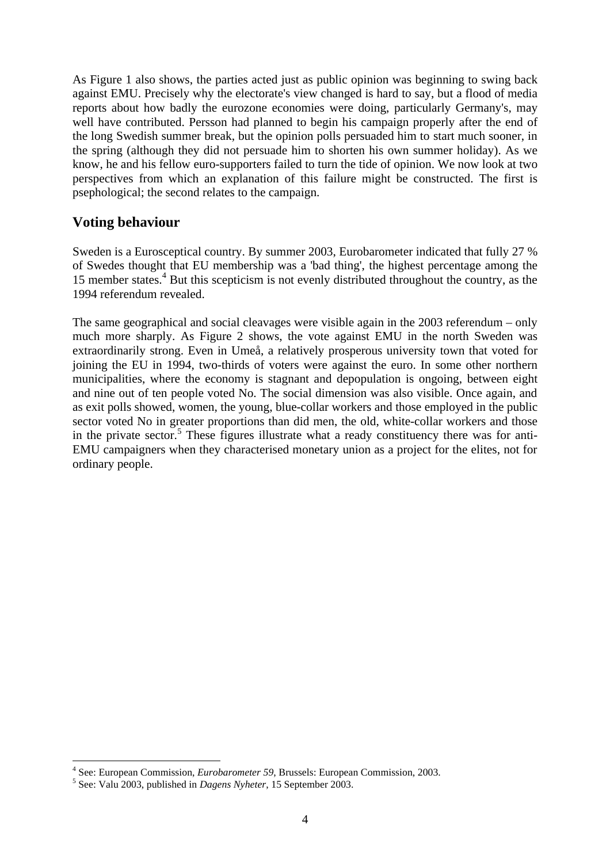As Figure 1 also shows, the parties acted just as public opinion was beginning to swing back against EMU. Precisely why the electorate's view changed is hard to say, but a flood of media reports about how badly the eurozone economies were doing, particularly Germany's, may well have contributed. Persson had planned to begin his campaign properly after the end of the long Swedish summer break, but the opinion polls persuaded him to start much sooner, in the spring (although they did not persuade him to shorten his own summer holiday). As we know, he and his fellow euro-supporters failed to turn the tide of opinion. We now look at two perspectives from which an explanation of this failure might be constructed. The first is psephological; the second relates to the campaign.

## **Voting behaviour**

Sweden is a Eurosceptical country. By summer 2003, Eurobarometer indicated that fully 27 % of Swedes thought that EU membership was a 'bad thing', the highest percentage among the 15 member states.<sup>4</sup> But this scepticism is not evenly distributed throughout the country, as the 1994 referendum revealed.

The same geographical and social cleavages were visible again in the 2003 referendum – only much more sharply. As Figure 2 shows, the vote against EMU in the north Sweden was extraordinarily strong. Even in Umeå, a relatively prosperous university town that voted for joining the EU in 1994, two-thirds of voters were against the euro. In some other northern municipalities, where the economy is stagnant and depopulation is ongoing, between eight and nine out of ten people voted No. The social dimension was also visible. Once again, and as exit polls showed, women, the young, blue-collar workers and those employed in the public sector voted No in greater proportions than did men, the old, white-collar workers and those in the private sector.<sup>5</sup> These figures illustrate what a ready constituency there was for anti-EMU campaigners when they characterised monetary union as a project for the elites, not for ordinary people.

 4 See: European Commission, *Eurobarometer 59*, Brussels: European Commission, 2003.

<sup>5</sup> See: Valu 2003, published in *Dagens Nyheter*, 15 September 2003.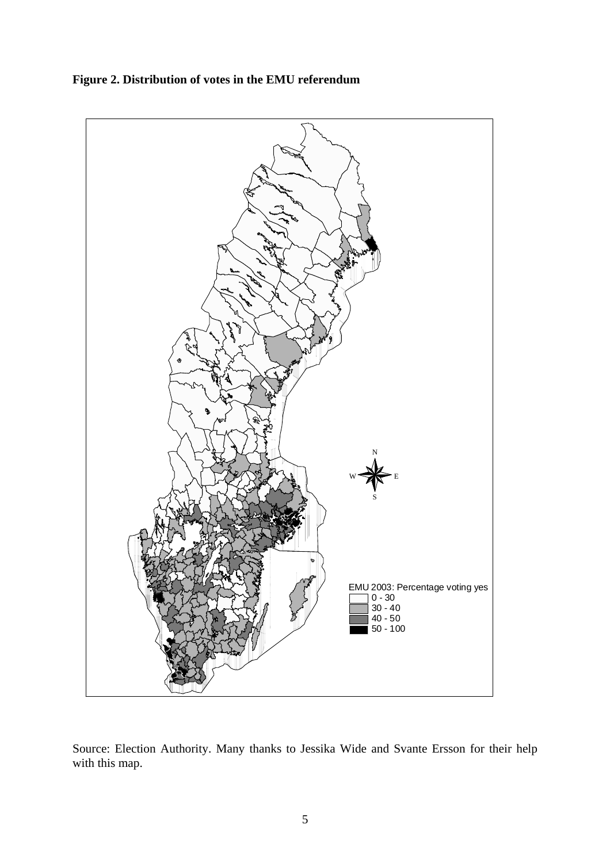

**Figure 2. Distribution of votes in the EMU referendum**

Source: Election Authority. Many thanks to Jessika Wide and Svante Ersson for their help with this map.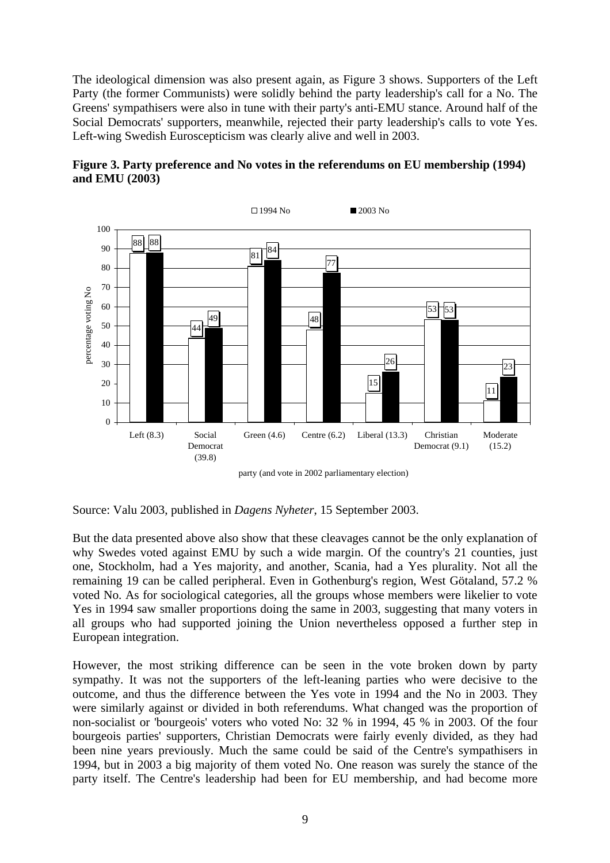The ideological dimension was also present again, as Figure 3 shows. Supporters of the Left Party (the former Communists) were solidly behind the party leadership's call for a No. The Greens' sympathisers were also in tune with their party's anti-EMU stance. Around half of the Social Democrats' supporters, meanwhile, rejected their party leadership's calls to vote Yes. Left-wing Swedish Euroscepticism was clearly alive and well in 2003.



**Figure 3. Party preference and No votes in the referendums on EU membership (1994) and EMU (2003)**

party (and vote in 2002 parliamentary election)

Source: Valu 2003, published in *Dagens Nyheter*, 15 September 2003.

But the data presented above also show that these cleavages cannot be the only explanation of why Swedes voted against EMU by such a wide margin. Of the country's 21 counties, just one, Stockholm, had a Yes majority, and another, Scania, had a Yes plurality. Not all the remaining 19 can be called peripheral. Even in Gothenburg's region, West Götaland, 57.2 % voted No. As for sociological categories, all the groups whose members were likelier to vote Yes in 1994 saw smaller proportions doing the same in 2003, suggesting that many voters in all groups who had supported joining the Union nevertheless opposed a further step in European integration.

However, the most striking difference can be seen in the vote broken down by party sympathy. It was not the supporters of the left-leaning parties who were decisive to the outcome, and thus the difference between the Yes vote in 1994 and the No in 2003. They were similarly against or divided in both referendums. What changed was the proportion of non-socialist or 'bourgeois' voters who voted No: 32 % in 1994, 45 % in 2003. Of the four bourgeois parties' supporters, Christian Democrats were fairly evenly divided, as they had been nine years previously. Much the same could be said of the Centre's sympathisers in 1994, but in 2003 a big majority of them voted No. One reason was surely the stance of the party itself. The Centre's leadership had been for EU membership, and had become more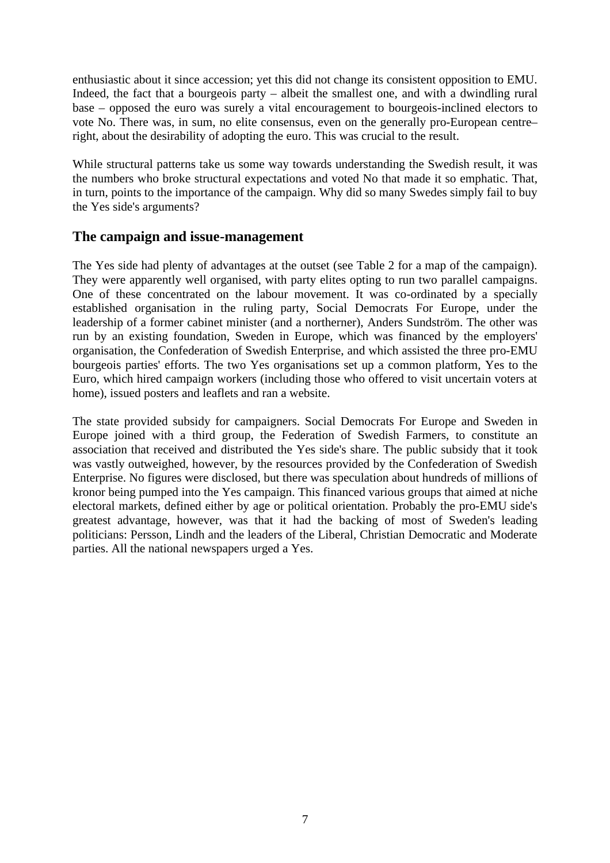enthusiastic about it since accession; yet this did not change its consistent opposition to EMU. Indeed, the fact that a bourgeois party – albeit the smallest one, and with a dwindling rural base – opposed the euro was surely a vital encouragement to bourgeois-inclined electors to vote No. There was, in sum, no elite consensus, even on the generally pro-European centre– right, about the desirability of adopting the euro. This was crucial to the result.

While structural patterns take us some way towards understanding the Swedish result, it was the numbers who broke structural expectations and voted No that made it so emphatic. That, in turn, points to the importance of the campaign. Why did so many Swedes simply fail to buy the Yes side's arguments?

#### **The campaign and issue-management**

The Yes side had plenty of advantages at the outset (see Table 2 for a map of the campaign). They were apparently well organised, with party elites opting to run two parallel campaigns. One of these concentrated on the labour movement. It was co-ordinated by a specially established organisation in the ruling party, Social Democrats For Europe, under the leadership of a former cabinet minister (and a northerner), Anders Sundström. The other was run by an existing foundation, Sweden in Europe, which was financed by the employers' organisation, the Confederation of Swedish Enterprise, and which assisted the three pro-EMU bourgeois parties' efforts. The two Yes organisations set up a common platform, Yes to the Euro, which hired campaign workers (including those who offered to visit uncertain voters at home), issued posters and leaflets and ran a website.

The state provided subsidy for campaigners. Social Democrats For Europe and Sweden in Europe joined with a third group, the Federation of Swedish Farmers, to constitute an association that received and distributed the Yes side's share. The public subsidy that it took was vastly outweighed, however, by the resources provided by the Confederation of Swedish Enterprise. No figures were disclosed, but there was speculation about hundreds of millions of kronor being pumped into the Yes campaign. This financed various groups that aimed at niche electoral markets, defined either by age or political orientation. Probably the pro-EMU side's greatest advantage, however, was that it had the backing of most of Sweden's leading politicians: Persson, Lindh and the leaders of the Liberal, Christian Democratic and Moderate parties. All the national newspapers urged a Yes.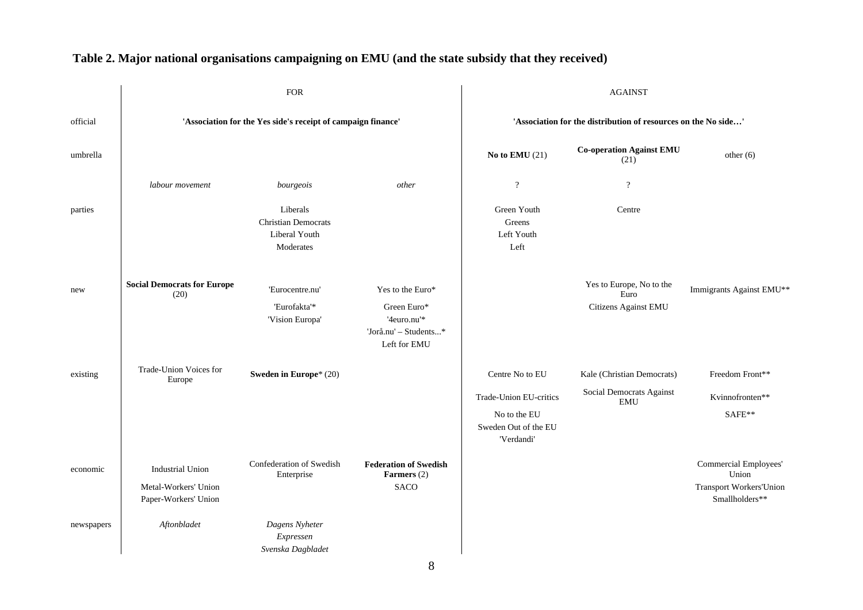|            | <b>FOR</b>                                                              |                                                                      |                                                                                         | <b>AGAINST</b>                                                 |                                                          |                                                                                    |
|------------|-------------------------------------------------------------------------|----------------------------------------------------------------------|-----------------------------------------------------------------------------------------|----------------------------------------------------------------|----------------------------------------------------------|------------------------------------------------------------------------------------|
| official   | 'Association for the Yes side's receipt of campaign finance'            |                                                                      |                                                                                         | 'Association for the distribution of resources on the No side' |                                                          |                                                                                    |
| umbrella   |                                                                         |                                                                      |                                                                                         | No to EMU $(21)$                                               | <b>Co-operation Against EMU</b><br>(21)                  | other $(6)$                                                                        |
|            | labour movement                                                         | bourgeois                                                            | other                                                                                   | $\cdot$                                                        | $\overline{?}$                                           |                                                                                    |
| parties    |                                                                         | Liberals<br><b>Christian Democrats</b><br>Liberal Youth<br>Moderates |                                                                                         | Green Youth<br>Greens<br>Left Youth<br>Left                    | Centre                                                   |                                                                                    |
| new        | <b>Social Democrats for Europe</b><br>(20)                              | 'Eurocentre.nu'<br>'Eurofakta'*<br>'Vision Europa'                   | Yes to the Euro*<br>Green Euro*<br>'4euro.nu'*<br>'Jorå.nu' - Students*<br>Left for EMU |                                                                | Yes to Europe, No to the<br>Euro<br>Citizens Against EMU | Immigrants Against EMU**                                                           |
| existing   | Trade-Union Voices for<br>Europe                                        | Sweden in Europe* (20)                                               |                                                                                         | Centre No to EU                                                | Kale (Christian Democrats)                               | Freedom Front**                                                                    |
|            |                                                                         |                                                                      |                                                                                         | Trade-Union EU-critics                                         | Social Democrats Against<br><b>EMU</b>                   | Kvinnofronten**                                                                    |
|            |                                                                         |                                                                      |                                                                                         | No to the EU<br>Sweden Out of the EU<br>'Verdandi'             |                                                          | SAFE**                                                                             |
| economic   | <b>Industrial Union</b><br>Metal-Workers' Union<br>Paper-Workers' Union | Confederation of Swedish<br>Enterprise                               | <b>Federation of Swedish</b><br>Farmers (2)<br><b>SACO</b>                              |                                                                |                                                          | Commercial Employees'<br>Union<br><b>Transport Workers'Union</b><br>Smallholders** |
| newspapers | Aftonbladet                                                             | Dagens Nyheter<br>Expressen<br>Svenska Dagbladet                     |                                                                                         |                                                                |                                                          |                                                                                    |

# **Table 2. Major national organisations campaigning on EMU (and the state subsidy that they received)**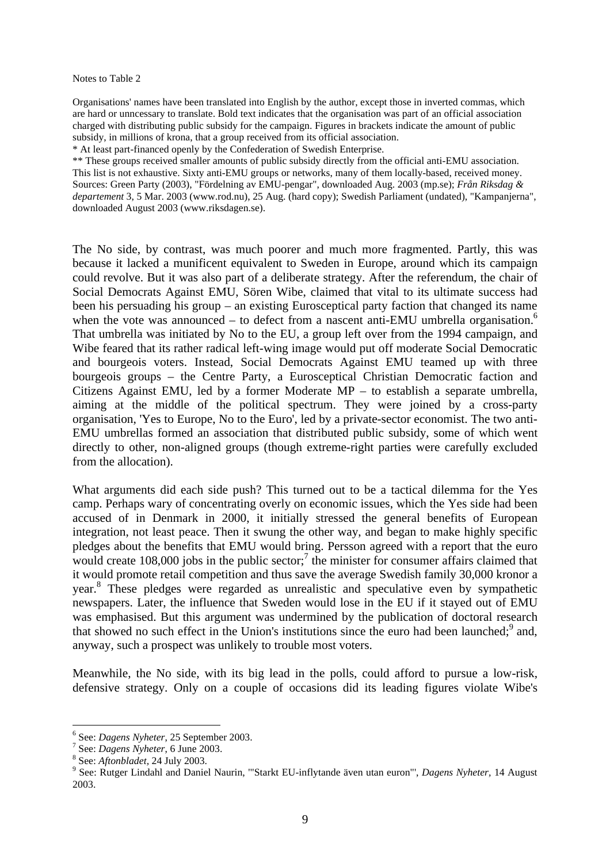#### Notes to Table 2

Organisations' names have been translated into English by the author, except those in inverted commas, which are hard or unncessary to translate. Bold text indicates that the organisation was part of an official association charged with distributing public subsidy for the campaign. Figures in brackets indicate the amount of public subsidy, in millions of krona, that a group received from its official association.

\* At least part-financed openly by the Confederation of Swedish Enterprise.

\*\* These groups received smaller amounts of public subsidy directly from the official anti-EMU association. This list is not exhaustive. Sixty anti-EMU groups or networks, many of them locally-based, received money. Sources: Green Party (2003), "Fördelning av EMU-pengar", downloaded Aug. 2003 (mp.se); *Från Riksdag & departement* 3, 5 Mar. 2003 (www.rod.nu), 25 Aug. (hard copy); Swedish Parliament (undated), "Kampanjerna", downloaded August 2003 (www.riksdagen.se).

The No side, by contrast, was much poorer and much more fragmented. Partly, this was because it lacked a munificent equivalent to Sweden in Europe, around which its campaign could revolve. But it was also part of a deliberate strategy. After the referendum, the chair of Social Democrats Against EMU, Sören Wibe, claimed that vital to its ultimate success had been his persuading his group – an existing Eurosceptical party faction that changed its name when the vote was announced – to defect from a nascent anti-EMU umbrella organisation.<sup>6</sup> That umbrella was initiated by No to the EU, a group left over from the 1994 campaign, and Wibe feared that its rather radical left-wing image would put off moderate Social Democratic and bourgeois voters. Instead, Social Democrats Against EMU teamed up with three bourgeois groups – the Centre Party, a Eurosceptical Christian Democratic faction and Citizens Against EMU, led by a former Moderate MP – to establish a separate umbrella, aiming at the middle of the political spectrum. They were joined by a cross-party organisation, 'Yes to Europe, No to the Euro', led by a private-sector economist. The two anti-EMU umbrellas formed an association that distributed public subsidy, some of which went directly to other, non-aligned groups (though extreme-right parties were carefully excluded from the allocation).

What arguments did each side push? This turned out to be a tactical dilemma for the Yes camp. Perhaps wary of concentrating overly on economic issues, which the Yes side had been accused of in Denmark in 2000, it initially stressed the general benefits of European integration, not least peace. Then it swung the other way, and began to make highly specific pledges about the benefits that EMU would bring. Persson agreed with a report that the euro would create  $108,000$  jobs in the public sector;<sup>7</sup> the minister for consumer affairs claimed that it would promote retail competition and thus save the average Swedish family 30,000 kronor a year.<sup>8</sup> These pledges were regarded as unrealistic and speculative even by sympathetic newspapers. Later, the influence that Sweden would lose in the EU if it stayed out of EMU was emphasised. But this argument was undermined by the publication of doctoral research that showed no such effect in the Union's institutions since the euro had been launched;<sup>9</sup> and, anyway, such a prospect was unlikely to trouble most voters.

Meanwhile, the No side, with its big lead in the polls, could afford to pursue a low-risk, defensive strategy. Only on a couple of occasions did its leading figures violate Wibe's

<sup>6</sup> See: *Dagens Nyheter*, 25 September 2003.

<sup>7</sup> See: *Dagens Nyheter*, 6 June 2003.

<sup>8</sup> See: *Aftonbladet,* 24 July 2003.

<sup>9</sup> See: Rutger Lindahl and Daniel Naurin, '"Starkt EU-inflytande även utan euron"', *Dagens Nyheter,* 14 August 2003.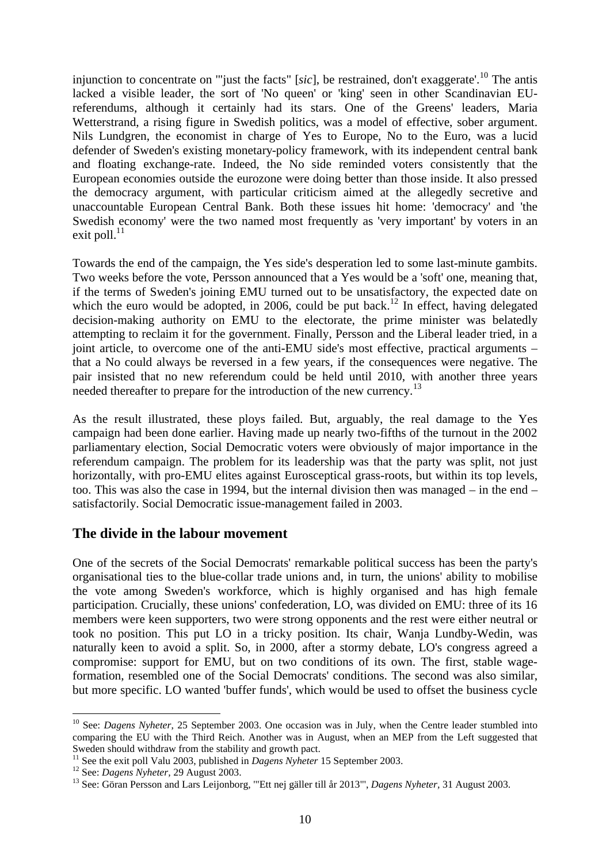injunction to concentrate on '"just the facts" [*sic*], be restrained, don't exaggerate'.<sup>10</sup> The antis lacked a visible leader, the sort of 'No queen' or 'king' seen in other Scandinavian EUreferendums, although it certainly had its stars. One of the Greens' leaders, Maria Wetterstrand, a rising figure in Swedish politics, was a model of effective, sober argument. Nils Lundgren, the economist in charge of Yes to Europe, No to the Euro, was a lucid defender of Sweden's existing monetary-policy framework, with its independent central bank and floating exchange-rate. Indeed, the No side reminded voters consistently that the European economies outside the eurozone were doing better than those inside. It also pressed the democracy argument, with particular criticism aimed at the allegedly secretive and unaccountable European Central Bank. Both these issues hit home: 'democracy' and 'the Swedish economy' were the two named most frequently as 'very important' by voters in an exit poll. $^{11}$ 

Towards the end of the campaign, the Yes side's desperation led to some last-minute gambits. Two weeks before the vote, Persson announced that a Yes would be a 'soft' one, meaning that, if the terms of Sweden's joining EMU turned out to be unsatisfactory, the expected date on which the euro would be adopted, in 2006, could be put back.<sup>12</sup> In effect, having delegated decision-making authority on EMU to the electorate, the prime minister was belatedly attempting to reclaim it for the government. Finally, Persson and the Liberal leader tried, in a joint article, to overcome one of the anti-EMU side's most effective, practical arguments – that a No could always be reversed in a few years, if the consequences were negative. The pair insisted that no new referendum could be held until 2010, with another three years needed thereafter to prepare for the introduction of the new currency.<sup>13</sup>

As the result illustrated, these ploys failed. But, arguably, the real damage to the Yes campaign had been done earlier. Having made up nearly two-fifths of the turnout in the 2002 parliamentary election, Social Democratic voters were obviously of major importance in the referendum campaign. The problem for its leadership was that the party was split, not just horizontally, with pro-EMU elites against Eurosceptical grass-roots, but within its top levels, too. This was also the case in 1994, but the internal division then was managed – in the end – satisfactorily. Social Democratic issue-management failed in 2003.

#### **The divide in the labour movement**

One of the secrets of the Social Democrats' remarkable political success has been the party's organisational ties to the blue-collar trade unions and, in turn, the unions' ability to mobilise the vote among Sweden's workforce, which is highly organised and has high female participation. Crucially, these unions' confederation, LO, was divided on EMU: three of its 16 members were keen supporters, two were strong opponents and the rest were either neutral or took no position. This put LO in a tricky position. Its chair, Wanja Lundby-Wedin, was naturally keen to avoid a split. So, in 2000, after a stormy debate, LO's congress agreed a compromise: support for EMU, but on two conditions of its own. The first, stable wageformation, resembled one of the Social Democrats' conditions. The second was also similar, but more specific. LO wanted 'buffer funds', which would be used to offset the business cycle

<sup>&</sup>lt;sup>10</sup> See: *Dagens Nyheter*, 25 September 2003. One occasion was in July, when the Centre leader stumbled into comparing the EU with the Third Reich. Another was in August, when an MEP from the Left suggested that Sweden should withdraw from the stability and growth pact.

<sup>&</sup>lt;sup>11</sup> See the exit poll Valu 2003, published in *Dagens Nyheter* 15 September 2003.

<sup>12</sup> See: *Dagens Nyheter,* 29 August 2003.

<sup>13</sup> See: Göran Persson and Lars Leijonborg, '"Ett nej gäller till år 2013"', *Dagens Nyheter,* 31 August 2003.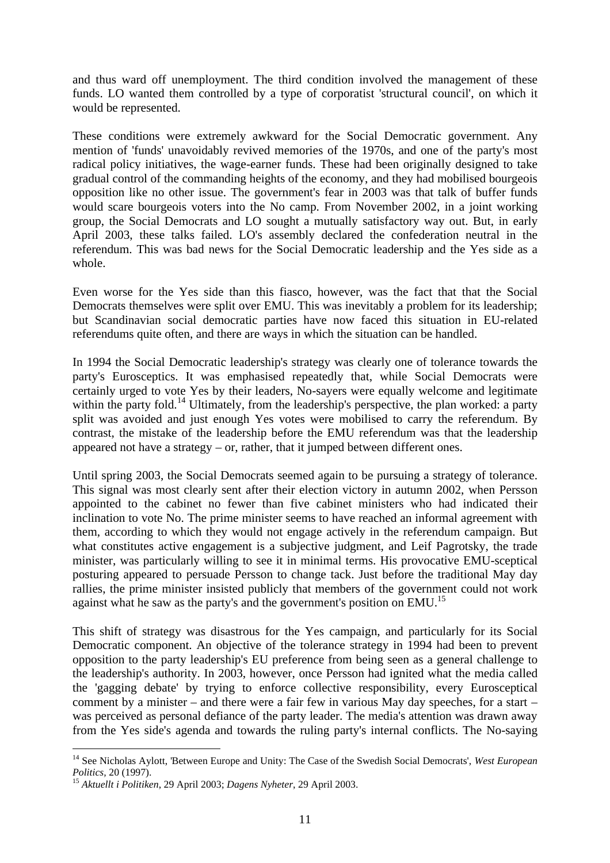and thus ward off unemployment. The third condition involved the management of these funds. LO wanted them controlled by a type of corporatist 'structural council', on which it would be represented.

These conditions were extremely awkward for the Social Democratic government. Any mention of 'funds' unavoidably revived memories of the 1970s, and one of the party's most radical policy initiatives, the wage-earner funds. These had been originally designed to take gradual control of the commanding heights of the economy, and they had mobilised bourgeois opposition like no other issue. The government's fear in 2003 was that talk of buffer funds would scare bourgeois voters into the No camp. From November 2002, in a joint working group, the Social Democrats and LO sought a mutually satisfactory way out. But, in early April 2003, these talks failed. LO's assembly declared the confederation neutral in the referendum. This was bad news for the Social Democratic leadership and the Yes side as a whole.

Even worse for the Yes side than this fiasco, however, was the fact that that the Social Democrats themselves were split over EMU. This was inevitably a problem for its leadership; but Scandinavian social democratic parties have now faced this situation in EU-related referendums quite often, and there are ways in which the situation can be handled.

In 1994 the Social Democratic leadership's strategy was clearly one of tolerance towards the party's Eurosceptics. It was emphasised repeatedly that, while Social Democrats were certainly urged to vote Yes by their leaders, No-sayers were equally welcome and legitimate within the party fold.<sup>14</sup> Ultimately, from the leadership's perspective, the plan worked: a party split was avoided and just enough Yes votes were mobilised to carry the referendum. By contrast, the mistake of the leadership before the EMU referendum was that the leadership appeared not have a strategy  $-$  or, rather, that it jumped between different ones.

Until spring 2003, the Social Democrats seemed again to be pursuing a strategy of tolerance. This signal was most clearly sent after their election victory in autumn 2002, when Persson appointed to the cabinet no fewer than five cabinet ministers who had indicated their inclination to vote No. The prime minister seems to have reached an informal agreement with them, according to which they would not engage actively in the referendum campaign. But what constitutes active engagement is a subjective judgment, and Leif Pagrotsky, the trade minister, was particularly willing to see it in minimal terms. His provocative EMU-sceptical posturing appeared to persuade Persson to change tack. Just before the traditional May day rallies, the prime minister insisted publicly that members of the government could not work against what he saw as the party's and the government's position on EMU.<sup>15</sup>

This shift of strategy was disastrous for the Yes campaign, and particularly for its Social Democratic component. An objective of the tolerance strategy in 1994 had been to prevent opposition to the party leadership's EU preference from being seen as a general challenge to the leadership's authority. In 2003, however, once Persson had ignited what the media called the 'gagging debate' by trying to enforce collective responsibility, every Eurosceptical comment by a minister – and there were a fair few in various May day speeches, for a start – was perceived as personal defiance of the party leader. The media's attention was drawn away from the Yes side's agenda and towards the ruling party's internal conflicts. The No-saying

<sup>14</sup> See Nicholas Aylott, 'Between Europe and Unity: The Case of the Swedish Social Democrats', *West European Politics,* 20 (1997).

<sup>15</sup> *Aktuellt i Politiken*, 29 April 2003; *Dagens Nyheter*, 29 April 2003.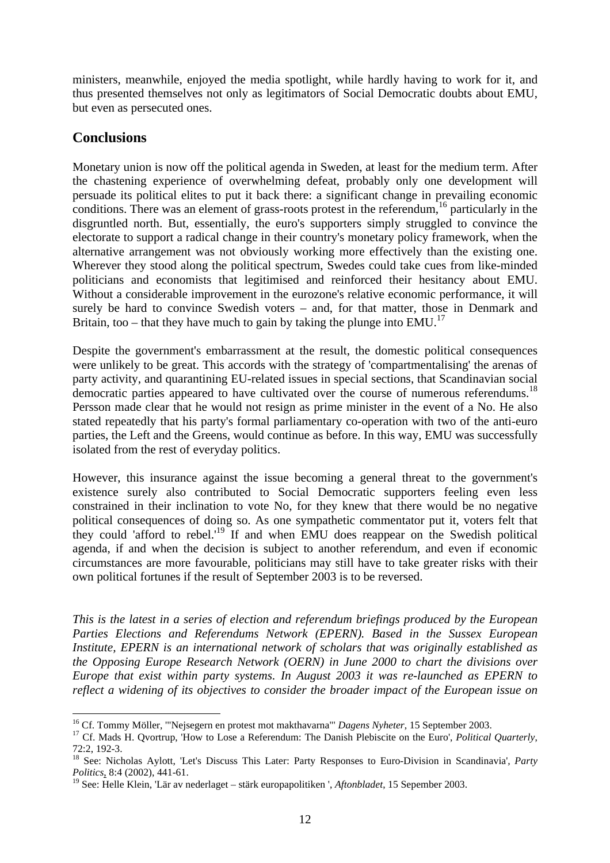ministers, meanwhile, enjoyed the media spotlight, while hardly having to work for it, and thus presented themselves not only as legitimators of Social Democratic doubts about EMU, but even as persecuted ones.

## **Conclusions**

Monetary union is now off the political agenda in Sweden, at least for the medium term. After the chastening experience of overwhelming defeat, probably only one development will persuade its political elites to put it back there: a significant change in prevailing economic conditions. There was an element of grass-roots protest in the referendum,<sup>16</sup> particularly in the disgruntled north. But, essentially, the euro's supporters simply struggled to convince the electorate to support a radical change in their country's monetary policy framework, when the alternative arrangement was not obviously working more effectively than the existing one. Wherever they stood along the political spectrum, Swedes could take cues from like-minded politicians and economists that legitimised and reinforced their hesitancy about EMU. Without a considerable improvement in the eurozone's relative economic performance, it will surely be hard to convince Swedish voters – and, for that matter, those in Denmark and Britain, too – that they have much to gain by taking the plunge into  $EMU<sup>17</sup>$ 

Despite the government's embarrassment at the result, the domestic political consequences were unlikely to be great. This accords with the strategy of 'compartmentalising' the arenas of party activity, and quarantining EU-related issues in special sections, that Scandinavian social democratic parties appeared to have cultivated over the course of numerous referendums.<sup>18</sup> Persson made clear that he would not resign as prime minister in the event of a No. He also stated repeatedly that his party's formal parliamentary co-operation with two of the anti-euro parties, the Left and the Greens, would continue as before. In this way, EMU was successfully isolated from the rest of everyday politics.

However, this insurance against the issue becoming a general threat to the government's existence surely also contributed to Social Democratic supporters feeling even less constrained in their inclination to vote No, for they knew that there would be no negative political consequences of doing so. As one sympathetic commentator put it, voters felt that they could 'afford to rebel.'<sup>19</sup> If and when EMU does reappear on the Swedish political agenda, if and when the decision is subject to another referendum, and even if economic circumstances are more favourable, politicians may still have to take greater risks with their own political fortunes if the result of September 2003 is to be reversed.

*This is the latest in a series of election and referendum briefings produced by the European Parties Elections and Referendums Network (EPERN). Based in the Sussex European Institute, EPERN is an international network of scholars that was originally established as the Opposing Europe Research Network (OERN) in June 2000 to chart the divisions over Europe that exist within party systems. In August 2003 it was re-launched as EPERN to reflect a widening of its objectives to consider the broader impact of the European issue on*

 $\overline{a}$ <sup>16</sup> Cf. Tommy Möller, '"Nejsegern en protest mot makthavarna"' *Dagens Nyheter*, 15 September 2003.

<sup>&</sup>lt;sup>17</sup> Cf. Mads H. Qvortrup, 'How to Lose a Referendum: The Danish Plebiscite on the Euro', *Political Quarterly*, 72:2, 192-3.

<sup>18</sup> See: Nicholas Aylott, 'Let's Discuss This Later: Party Responses to Euro-Division in Scandinavia'*, Party Politics*, 8:4 (2002), 441-61.

<sup>19</sup> See: Helle Klein, 'Lär av nederlaget – stärk europapolitiken ', *Aftonbladet*, 15 Sepember 2003.